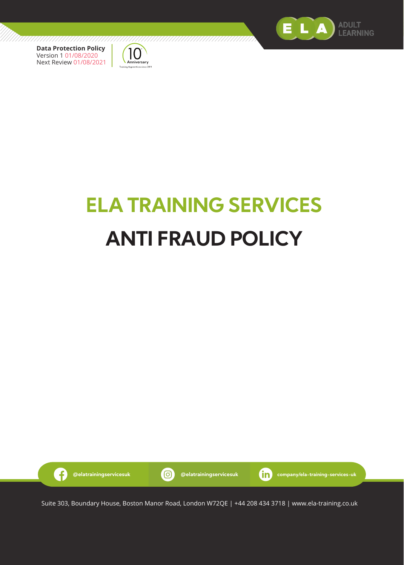



# **ELA TRAINING SERVICES ANTI FRAUD POLICY**

///////////



Suite 303, Boundary House, Boston Manor Road, London W72QE | +44 208 434 3718 | www.ela-training.co.uk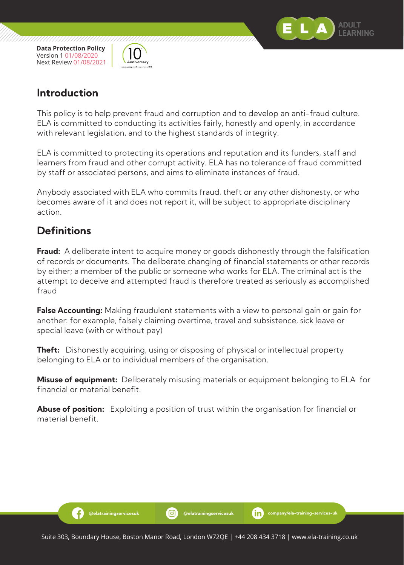



## **Introduction**

This policy is to help prevent fraud and corruption and to develop an anti-fraud culture. ELA is committed to conducting its activities fairly, honestly and openly, in accordance with relevant legislation, and to the highest standards of integrity.

ELA is committed to protecting its operations and reputation and its funders, staff and learners from fraud and other corrupt activity. ELA has no tolerance of fraud committed by staff or associated persons, and aims to eliminate instances of fraud.

Anybody associated with ELA who commits fraud, theft or any other dishonesty, or who becomes aware of it and does not report it, will be subject to appropriate disciplinary action.

# **Definitions**

Ð

**Fraud:** A deliberate intent to acquire money or goods dishonestly through the falsification of records or documents. The deliberate changing of financial statements or other records by either; a member of the public or someone who works for ELA. The criminal act is the attempt to deceive and attempted fraud is therefore treated as seriously as accomplished fraud

**False Accounting:** Making fraudulent statements with a view to personal gain or gain for another: for example, falsely claiming overtime, travel and subsistence, sick leave or special leave (with or without pay)

**Theft:** Dishonestly acquiring, using or disposing of physical or intellectual property belonging to ELA or to individual members of the organisation.

**Misuse of equipment:** Deliberately misusing materials or equipment belonging to ELA for financial or material benefit.

**Abuse of position:** Exploiting a position of trust within the organisation for financial or material benefit.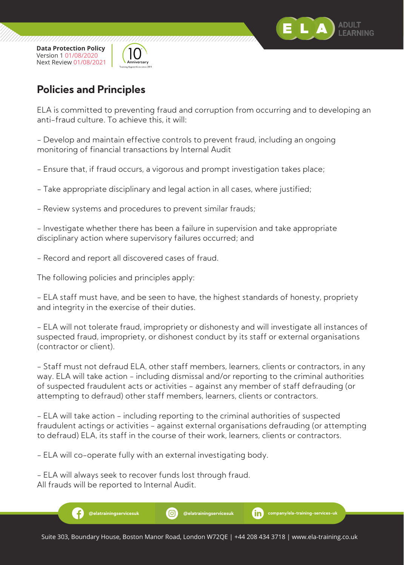



# **Policies and Principles**

ELA is committed to preventing fraud and corruption from occurring and to developing an anti-fraud culture. To achieve this, it will:

- Develop and maintain effective controls to prevent fraud, including an ongoing monitoring of financial transactions by Internal Audit

- Ensure that, if fraud occurs, a vigorous and prompt investigation takes place;

- Take appropriate disciplinary and legal action in all cases, where justified;

- Review systems and procedures to prevent similar frauds;

- Investigate whether there has been a failure in supervision and take appropriate disciplinary action where supervisory failures occurred; and

- Record and report all discovered cases of fraud.

The following policies and principles apply:

- ELA staff must have, and be seen to have, the highest standards of honesty, propriety and integrity in the exercise of their duties.

- ELA will not tolerate fraud, impropriety or dishonesty and will investigate all instances of suspected fraud, impropriety, or dishonest conduct by its staff or external organisations (contractor or client).

- Staff must not defraud ELA, other staff members, learners, clients or contractors, in any way. ELA will take action - including dismissal and/or reporting to the criminal authorities of suspected fraudulent acts or activities - against any member of staff defrauding (or attempting to defraud) other staff members, learners, clients or contractors.

- ELA will take action - including reporting to the criminal authorities of suspected fraudulent actings or activities - against external organisations defrauding (or attempting to defraud) ELA, its staff in the course of their work, learners, clients or contractors.

- ELA will co-operate fully with an external investigating body.

- ELA will always seek to recover funds lost through fraud. All frauds will be reported to Internal Audit.

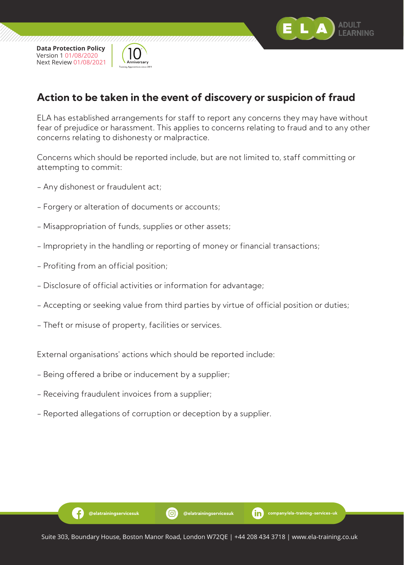



# **Action to be taken in the event of discovery or suspicion of fraud**

ELA has established arrangements for staff to report any concerns they may have without fear of prejudice or harassment. This applies to concerns relating to fraud and to any other concerns relating to dishonesty or malpractice.

Concerns which should be reported include, but are not limited to, staff committing or attempting to commit:

- Any dishonest or fraudulent act;
- Forgery or alteration of documents or accounts;
- Misappropriation of funds, supplies or other assets;
- Impropriety in the handling or reporting of money or financial transactions;
- Profiting from an official position;
- Disclosure of official activities or information for advantage;
- Accepting or seeking value from third parties by virtue of official position or duties;
- Theft or misuse of property, facilities or services.

External organisations' actions which should be reported include:

- Being offered a bribe or inducement by a supplier;
- Receiving fraudulent invoices from a supplier;

Ð

- Reported allegations of corruption or deception by a supplier.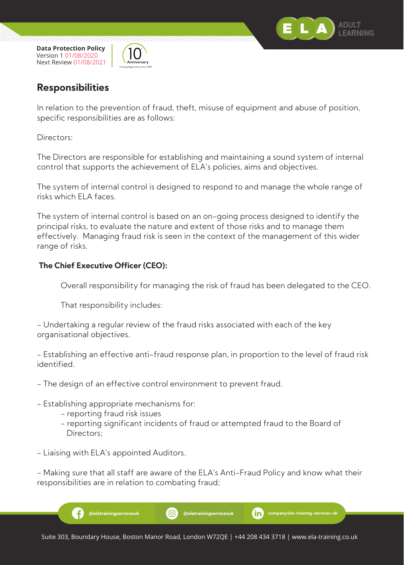



## **Responsibilities**

In relation to the prevention of fraud, theft, misuse of equipment and abuse of position, specific responsibilities are as follows:

Directors:

The Directors are responsible for establishing and maintaining a sound system of internal control that supports the achievement of ELA's policies, aims and objectives.

The system of internal control is designed to respond to and manage the whole range of risks which ELA faces.

The system of internal control is based on an on-going process designed to identify the principal risks, to evaluate the nature and extent of those risks and to manage them effectively. Managing fraud risk is seen in the context of the management of this wider range of risks.

## **The Chief Executive Officer (CEO):**

Overall responsibility for managing the risk of fraud has been delegated to the CEO.

That responsibility includes:

- Undertaking a regular review of the fraud risks associated with each of the key organisational objectives.

- Establishing an effective anti-fraud response plan, in proportion to the level of fraud risk identified.

- The design of an effective control environment to prevent fraud.
- Establishing appropriate mechanisms for:
	- reporting fraud risk issues
	- reporting significant incidents of fraud or attempted fraud to the Board of Directors;

- Liaising with ELA's appointed Auditors.

- Making sure that all staff are aware of the ELA's Anti-Fraud Policy and know what their responsibilities are in relation to combating fraud;

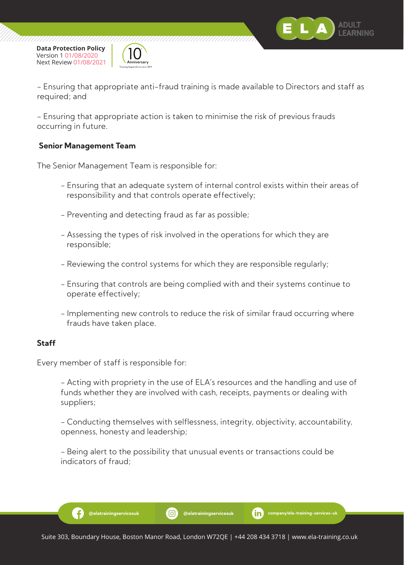



- Ensuring that appropriate anti-fraud training is made available to Directors and staff as required; and

- Ensuring that appropriate action is taken to minimise the risk of previous frauds occurring in future.

#### **Senior Management Team**

The Senior Management Team is responsible for:

- Ensuring that an adequate system of internal control exists within their areas of responsibility and that controls operate effectively;
- Preventing and detecting fraud as far as possible;
- Assessing the types of risk involved in the operations for which they are responsible;
- Reviewing the control systems for which they are responsible regularly;
- Ensuring that controls are being complied with and their systems continue to operate effectively;
- Implementing new controls to reduce the risk of similar fraud occurring where frauds have taken place.

#### **Staff**

Every member of staff is responsible for:

Ð

 - Acting with propriety in the use of ELA's resources and the handling and use of funds whether they are involved with cash, receipts, payments or dealing with suppliers;

 - Conducting themselves with selflessness, integrity, objectivity, accountability, openness, honesty and leadership;

 - Being alert to the possibility that unusual events or transactions could be indicators of fraud;